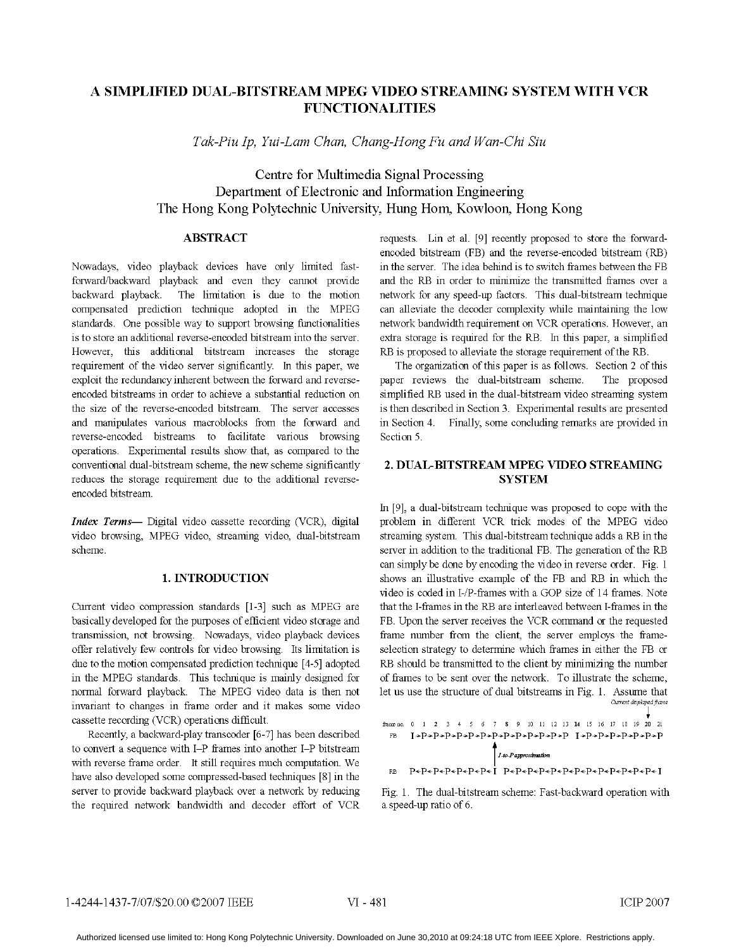# A SIMPLIFIED DUAL-BITSTREAM MPEG VIDEO STREAMING SYSTEM WITH VCR **FUNCTIONALITIES**

Tak-Piu Ip, Yui-Lam Chan, Chang-Hong Fu and Wan-Chi Siu

# Centre for Multimedia Signal Processing Department of Electronic and Information Engineering The Hong Kong Polytechnic University, Hung Hom, Kowloon, Hong Kong

## ABSTRACT

Nowadays, video playback devices have only limited fastforward/backward playback and even they cannot provide backward playback. The limitation is due to the motion compensated prediction technique adopted in the MPEG standards. One possible way to support browsing functionalities is to store an additional reverse-encoded bitstream into the server. However, this additional bitstream increases the storage requirement of the video server significantly. In this paper, we exploit the redundancy inherent between the forward and reverseencoded bitstreams in order to achieve a substantial reduction on the size of the reverse-encoded bitstream. The server accesses and manipulates various macroblocks from the forward and reverse-encoded bistreams to facilitate various browsing operations. Experimental results show that, as compared to the conventional dual-bitstream scheme, the new scheme significantly reduces the storage requirement due to the additional reverseencoded bitstream.

Index Terms- Digital video cassette recording (VCR), digital video browsing, MPEG video, streaming video, dual-bitstream scheme.

# 1. INTRODUCTION

Current video compression standards [1-3] such as MPEG are basically developed for the purposes of efficient video storage and transmission, not browsing. Nowadays, video playback devices offer relatively few controls for video browsing. Its limitation is due to the motion compensated prediction technique [4-5] adopted in the MPEG standards. This technique is mainly designed for normal forward playback. The MPEG video data is then not invariant to changes in frame order and it makes some video cassette recording (VCR) operations difficult.

Recently, a backward-play transcoder [6-7] has been described to convert a sequence with I-P frames into another I-P bitstream with reverse frame order. It still requires much computation. We have also developed some compressed-based techniques [8] in the server to provide backward playback over a network by reducing the required network bandwidth and decoder effort of VCR

requests. Lin et al. [9] recently proposed to store the forwardencoded bitstream (FB) and the reverse-encoded bitstream (RB) in the server. The idea behind is to switch frames between the FB and the RB in order to minimize the transmitted frames over <sup>a</sup> network for any speed-up factors. This dual-bitstream technique can alleviate the decoder complexity while maintaining the low network bandwidth requirement on VCR operations. However, an extra storage is required for the RB. In this paper, a simplified RB is proposed to alleviate the storage requirement of the RB.

The organization of this paper is as follows. Section 2 of this paper reviews the dual-bitstream scheme. The proposed simplified RB used in the dual-bitstream video streaming system is then described in Section 3. Experimental results are presented in Section 4. Finally, some concluding remarks are provided in Section 5.

# 2. DUAL-BITSTREAM MPEG VIDEO STREAMING **SYSTEM**

In [9], a dual-bitstream technique was proposed to cope with the problem in different VCR trick modes of the MPEG video streaming system. This dual-bitstream technique adds <sup>a</sup> RB in the server in addition to the traditional FB. The generation of the RB can simply be done by encoding the video in reverse order. Fig. <sup>1</sup> shows an illustrative example of the FB and RB in which the video is coded in I-/P-frames with <sup>a</sup> GOP size of <sup>14</sup> frames. Note that the I-frames in the RB are interleaved between I-frames in the FB. Upon the server receives the VCR command or the requested frame number from the client, the server employs the frameselection strategy to determine which frames in either the FB or RB should be transmitted to the client by minimizing the number of frames to be sent over the network. To illustrate the scheme, let us use the structure of dual bitstreams in Fig. 1. Assume that Current displayed frame

| frame no.                   |  |  |  |  |  |  |  |  | 0 1 2 3 4 5 6 7 8 9 10 11 12 13 14 15 16 17 18 19 20 21 |  |  |  |  |  |  |  |  |
|-----------------------------|--|--|--|--|--|--|--|--|---------------------------------------------------------|--|--|--|--|--|--|--|--|
| FB                          |  |  |  |  |  |  |  |  |                                                         |  |  |  |  |  |  |  |  |
|                             |  |  |  |  |  |  |  |  |                                                         |  |  |  |  |  |  |  |  |
| $\int$ I-to-P approximation |  |  |  |  |  |  |  |  |                                                         |  |  |  |  |  |  |  |  |
| RB                          |  |  |  |  |  |  |  |  | P«P«P«P«P«P«P»F»I P«P«P«P«P«P«P«P»P«P«P«P«P»F»          |  |  |  |  |  |  |  |  |
|                             |  |  |  |  |  |  |  |  |                                                         |  |  |  |  |  |  |  |  |

Fig. 1. The dual-bitstream scheme: Fast-backward operation with a speed-up ratio of 6.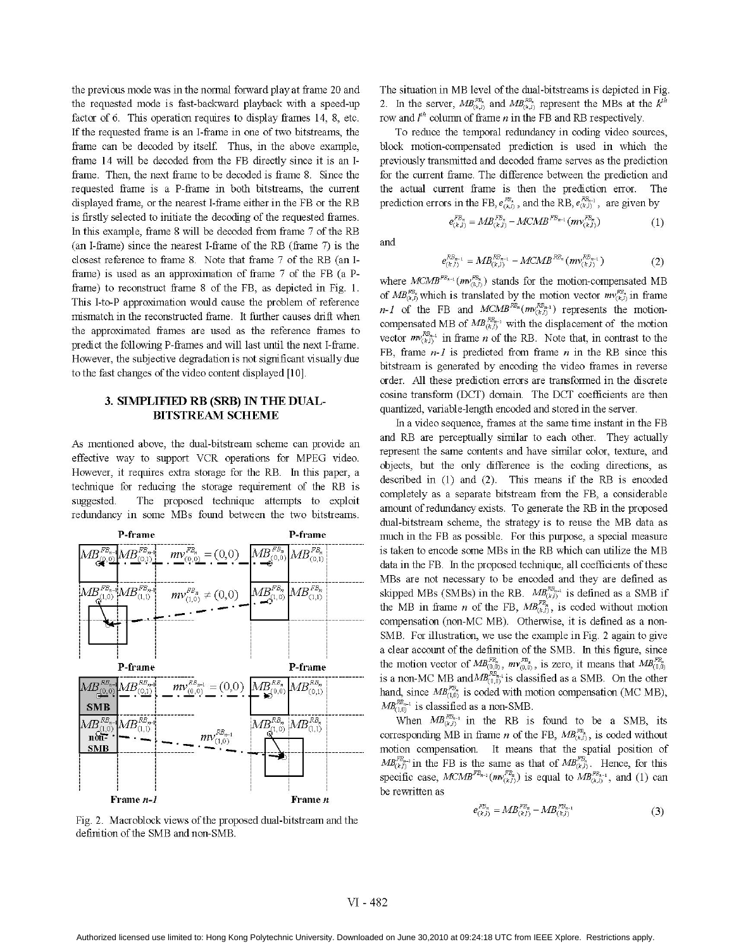the previous mode was in the normal forward play at frame 20 and the requested mode is fast-backward playback with a speed-up factor of 6. This operation requires to display frames 14, 8, etc. If the requested frame is an I-frame in one of two bitstreams, the frame can be decoded by itself. Thus, in the above example, frame 14 will be decoded from the FB directly since it is an Iframe. Then, the next frame to be decoded is frame 8. Since the requested frame is a P-frame in both bitstreams, the current displayed frame, or the nearest I-frame either in the FB or the RB is firstly selected to initiate the decoding of the requested frames. In this example, frame <sup>8</sup> will be decoded from frame <sup>7</sup> of the RB (an I-frame) since the nearest I-frame of the RB (frame 7) is the closest reference to frame 8. Note that frame <sup>7</sup> of the RB (an Iframe) is used as an approximation of frame 7 of the FB (a Pframe) to reconstruct frame 8 of the FB, as depicted in Fig. 1. This I-to-P approximation would cause the problem of reference mismatch in the reconstructed frame. It further causes drift when the approximated frames are used as the reference frames to predict the following P-frames and will last until the next I-frame. However, the subjective degradation is not significant visually due to the fast changes of the video content displayed [10].

## 3. SIMPLIFIED RB (SRB) IN THE DUAL-BITSTREAM SCHEME

As mentioned above, the dual-bitstream scheme can provide an effective way to support VCR operations for MPEG video. However, it requires extra storage for the RB. In this paper, a technique for reducing the storage requirement of the RB is suggested. The proposed technique attempts to exploit redundancy in some MBs found between the two bitstreams.



Fig. 2. Macroblock views of the proposed dual-bitstream and the definition of the SMB and non-SMB.

The situation in MB level of the dual-bitstreams is depicted in Fig. 2. In the server,  $MB_{(k,l)}^{FB_s}$  and  $MB_{(k,l)}^{BB_s}$  represent the MBs at the  $k^{th}$ row and  $l^{th}$  column of frame *n* in the FB and RB respectively.

To reduce the temporal redundancy in coding video sources, block motion-compensated prediction is used in which the previously transmitted and decoded frame serves as the prediction for the current frame. The difference between the prediction and the actual current frame is then the prediction error. The prediction errors in the FB,  $e_{(k,l)}^{B_s}$ , and the RB,  $e_{(k,l)}^{B_{s-1}}$ , are given by

and

$$
R_{(k,l)}^{RB_{n-1}} = MB_{(k,l)}^{RB_{n-1}} - MCMB^{RB_n}(mv_{(k,l)}^{RB_{n-1}})
$$
 (2)

 $e_{(k)}^{FB_n} = MB_{(k,l)}^{FB_n} - MCMB^{FB_{n-1}}(mv_{(k,l)}^{FB_n})$  (1)

where  $MCMB^{FB_{k-1}}(mv_{(k,1)}^{FB_k})$  stands for the motion-compensated MB of  $MB_{(k,l)}^{FB_s}$  which is translated by the motion vector  $mv_{(k,l)}^{FB_s}$  in frame  $n-1$  of the FB and  $MCMB^{RB_n}(mv^{RB_{n-1}}_{(k,l)})$  represents the motioncompensated MB of  $MB_{(k,l)}^{EB_{n-1}}$  with the displacement of the motion vector  $mv_{(k)}^{RB_{n-1}}$  in frame *n* of the RB. Note that, in contrast to the FB, frame  $n-1$  is predicted from frame n in the RB since this bitstream is generated by encoding the video frames in reverse order. All these prediction errors are transformed in the discrete cosine transform (DCT) domain. The DCT coefficients are then quantized, variable-length encoded and stored in the server.

In a video sequence, frames at the same time instant in the FB and RB are perceptually similar to each other. They actually represent the same contents and have similar color, texture, and objects, but the only difference is the coding directions, as described in (1) and (2). This means if the RB is encoded completely as a separate bitstream from the FB, a considerable amount of redundancy exists. To generate the RB in the proposed dual-bitstream scheme, the strategy is to reuse the MB data as much in the FB as possible. For this purpose, a special measure is taken to encode some MBs in the RB which can utilize the MB data in the FB. In the proposed technique, all coefficients of these MBs are not necessary to be encoded and they are defined as skipped MBs (SMBs) in the RB.  $MB_{(k)}^{RB_{n-1}}$  is defined as a SMB if the MB in frame *n* of the FB,  $MB_{(k,j)}^{FB}$ , is coded without motion compensation (non-MC MB). Otherwise, it is defined as a non-SMB. For illustration, we use the example in Fig. 2 again to give a clear account of the definition of the SMB. In this figure, since the motion vector of  $MB_{(0,0)}^{2\pi}$ ,  $mv_{(0,0)}^{2\pi}$ , is zero, it means that  $MB_{(0,0)}^{2\pi}$ is a non-MC MB and  $MB_{(0,0)}^{RB_{n-1}}$  is classified as a SMB. On the other hand, since  $MB_{(10)}^{FB}$  is coded with motion compensation (MC MB),  $MB_{(1,0)}^{RB_{n-1}}$  is classified as a non-SMB.

When  $MB_{(k,j)}^{RB_{n-1}}$  in the RB is found to be a SMB, its corresponding MB in frame *n* of the FB,  $MB_{(k,j)}^{FB_s}$ , is coded without motion compensation. It means that the spatial position of  $MB_{(k,j)}^{FB_{n-1}}$  in the FB is the same as that of  $MB_{(k,j)}^{FB_n}$ . Hence, for this specific case,  $M CMB^{FB_{n-1}}(mv_{(kj)}^{FB_n})$  is equal to  $MB_{(k,j)}^{FB_{n-1}}$ , and (1) can be rewritten as

$$
e_{(k,l)}^{FB_n} = M B_{(k,l)}^{FB_n} - M B_{(k,l)}^{FB_{n-1}} \tag{3}
$$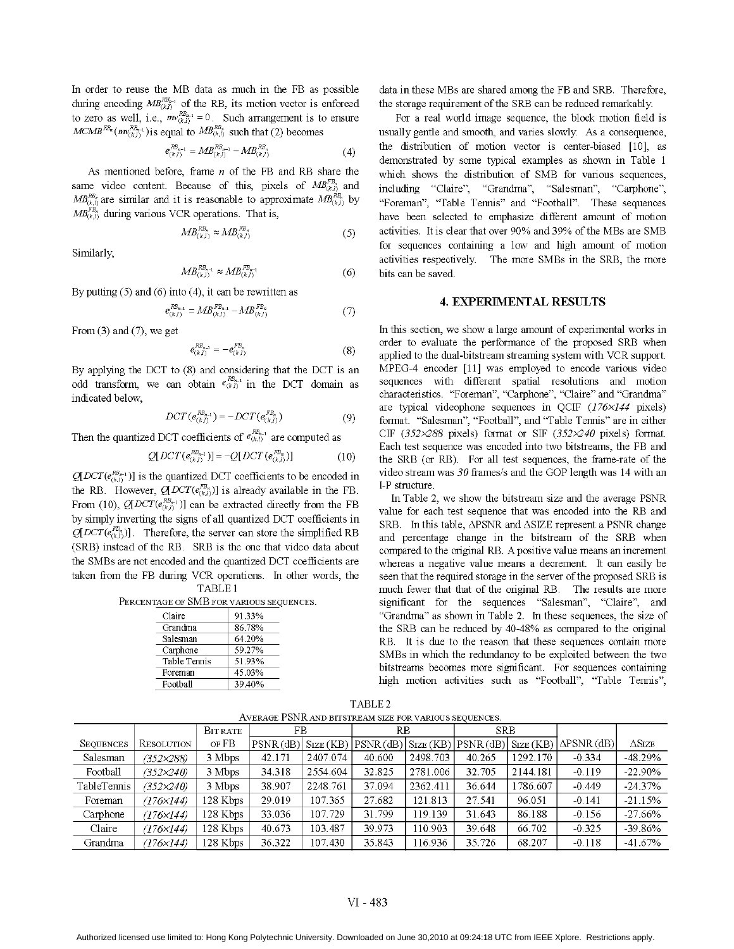In order to reuse the MB data as much in the FB as possible during encoding  $MB_{(k,l)}$  of the RB, its motion vector is enforced to zero as well, i.e.,  $mv_{(k,l)}^{-1} = 0$ . Such arrangement is to ensure  $MCMB^{RB_n}(m_{(k_1)}^{RB_{n-1}})$  is equal to  $MB^{RB_n}_{(k,j)}$  such that (2) becomes

$$
e_{(k,l)}^{R B_{n-1}} = M B_{(k,l)}^{R B_{n-1}} - M B_{(k,l)}^{R B_n}
$$
\n(4)

As mentioned before, frame  $n$  of the FB and RB share the same video content. Because of this, pixels of  $MB_{(k,l)}^{FB_n}$  and  $MB^{BB}_{(k,l)}$  are similar and it is reasonable to approximate  $MB^{BB}_{(k,l)}$  by  $MB_{(k)}^{FB}$  during various VCR operations. That is,

$$
MB_{(k,l)}^{RB_n} \approx MB_{(k,l)}^{FB_n} \tag{5}
$$

Similarly,

$$
MB_{(k,l)}^{RB_{n-1}} \approx MB_{(k,l)}^{FB_{n-1}} \tag{6}
$$

By putting  $(5)$  and  $(6)$  into  $(4)$ , it can be rewritten as

$$
e_{(k,l)}^{E_{n-1}^{B}} = MB_{(k,l)}^{E_{n-1}^{B}} - MB_{(k,l)}^{E_{n}^{B}} \tag{7}
$$

From  $(3)$  and  $(7)$ , we get

$$
e_{(k,l)}^{EB_{n-1}} = -e_{(k,l)}^{FB_n} \tag{8}
$$

By applying the DCT to (8) and considering that the DCT is an odd transform, we can obtain  $e_{(k,l)}^{\text{RB}_{n-1}}$  in the DCT domain as indicated below,

$$
DCT(e_{(k,l)}^{EB_{n-1}}) = -DCT(e_{(k,l)}^{FB_n})
$$
\n(9)

Then the quantized DCT coefficients of  $e_{(k,l)}^{RB_{n-1}}$  are computed as

$$
Q[DCT(e_{(k,j)}^{RB_{n-1}})] = -Q[DCT(e_{(k,j)}^{PB_n})]
$$
(10)

 $Q[DCT(e_{(k,1)}^{RB_{k-1}})]$  is the quantized DCT coefficients to be encoded in the RB. However,  $Q(DCT(e_{(k,l)}^{FB_n}))$  is already available in the FB. From (10),  $Q[DCT(e_{(k,j)}^{RB_{n+1}})]$  can be extracted directly from the FB by simply inverting the signs of all quantized DCT coefficients in  $Q[DCT(e_{(k,l)}^{FB})]$ . Therefore, the server can store the simplified RB (SRB) instead of the RB. SRB is the one that video data about the SMBs are not encoded and the quantized DCT coefficients are taken from the FB during VCR operations. In other words, the TABLE <sup>1</sup>

PERCENTAGE OF SMB FOR VARIOUS SEQUENCES.

| Claire       | 91.33% |
|--------------|--------|
| Grandma      | 86.78% |
| Salesman     | 64.20% |
| Carphone     | 59.27% |
| Table Tennis | 51.93% |
| Foreman      | 45.03% |
| Football     | 39.40% |

data in these MBs are shared among the FB and SRB. Therefore, the storage requirement of the SRB can be reduced remarkably.

For a real world image sequence, the block motion field is usually gentle and smooth, and varies slowly. As a consequence, the distribution of motion vector is center-biased [10], as demonstrated by some typical examples as shown in Table <sup>1</sup> which shows the distribution of SMB for various sequences, including "Claire", "Grandma", "Salesman", "Carphone", "Foreman", "Table Tennis" and "Football". These sequences have been selected to emphasize different amount of motion activities. It is clear that over 90% and 39% of the MBs are SMB for sequences containing a low and high amount of motion activities respectively. The more SMBs in the SRB, the more bits can be saved.

#### 4. EXPERIMENTAL RESULTS

In this section, we show a large amount of experimental works in order to evaluate the performance of the proposed SRB when applied to the dual-bitstream streaming system with VCR support. MPEG-4 encoder [11] was employed to encode various video sequences with different spatial resolutions and motion characteristics. "Foreman", "Carphone", "Claire" and "Grandma" are typical videophone sequences in OCIF  $(176\times144$  pixels) format. "Salesman", "Football", and "Table Tennis" are in either CIF (352 $\times$ 288 pixels) format or SIF (352 $\times$ 240 pixels) format. Each test sequence was encoded into two bitstreams, the FB and the SRB (or RB). For all test sequences, the frame-rate of the video stream was 30 frames/s and the GOP length was <sup>14</sup> with an I-P structure.

In Table 2, we show the bitstream size and the average PSNR value for each test sequence that was encoded into the RB and SRB. In this table,  $\triangle$ PSNR and  $\triangle$ SIZE represent a PSNR change and percentage change in the bitstream of the SRB when compared to the original RB. A positive value means an increment whereas a negative value means a decrement. It can easily be seen that the required storage in the server of the proposed SRB is much fewer that that of the original RB. The results are more significant for the sequences "Salesman", "Claire", and "Grandma" as shown in Table 2. In these sequences, the size of the SRB can be reduced by 40-48% as compared to the original RB. It is due to the reason that these sequences contain more SMBs in which the redundancy to be exploited between the two bitstreams becomes more significant. For sequences containing high motion activities such as "Football", "Table Tennis",

| AVERAGE PSNR AND BITSTREAM SIZE FOR VARIOUS SEQUENCES. |                    |          |          |          |        |          |            |          |                                                                                                                                                          |                        |  |  |
|--------------------------------------------------------|--------------------|----------|----------|----------|--------|----------|------------|----------|----------------------------------------------------------------------------------------------------------------------------------------------------------|------------------------|--|--|
|                                                        |                    | BITRATE  | FB       |          | RB     |          | <b>SRB</b> |          |                                                                                                                                                          |                        |  |  |
| <b>SEQUENCES</b>                                       | RESOLUTION         | of FB    | PSNR(dB) |          |        |          |            |          | $\text{Size}(\text{KB})  \text{PSNR}(\text{dB})  \text{Size}(\text{KB})  \text{PSNR}(\text{dB})  \text{Size}(\text{KB})  \Delta \text{PSNR}(\text{dB}) $ | $\Delta \mathrm{Size}$ |  |  |
| Salesman                                               | $(352 \times 288)$ | 3 Mbps   | 42.171   | 2407.074 | 40.600 | 2498.703 | 40.265     | 1292.170 | $-0.334$                                                                                                                                                 | $-48.29%$              |  |  |
| Football                                               | $(352 \times 240)$ | 3 Mbps   | 34.318   | 2554.604 | 32.825 | 2781.006 | 32.705     | 2144.181 | $-0.119$                                                                                                                                                 | $-22.90\%$             |  |  |
| TableTennis                                            | $(352 \times 240)$ | 3 Mbps   | 38.907   | 2248.761 | 37.094 | 2362.411 | 36.644     | 1786.607 | $-0.449$                                                                                                                                                 | $-24.37%$              |  |  |
| Foreman                                                | (176×144)          | 128 Kbps | 29.019   | 107.365  | 27.682 | 121.813  | 27.541     | 96.051   | $-0.141$                                                                                                                                                 | $-21.15%$              |  |  |
| Carphone                                               | $(176\times144)$   | 128 Kbps | 33.036   | 107.729  | 31.799 | 119.139  | 31.643     | 86.188   | $-0.156$                                                                                                                                                 | $-27.66%$              |  |  |
| Claire                                                 | (176×144)          | 128 Kbps | 40.673   | 103.487  | 39.973 | 110.903  | 39.648     | 66.702   | $-0.325$                                                                                                                                                 | $-39.86%$              |  |  |
| Grandma                                                | (176×144)          | 128 Kbps | 36.322   | 107.430  | 35.843 | 116.936  | 35.726     | 68.207   | $-0.118$                                                                                                                                                 | $-41.67%$              |  |  |

TABLE 2

#### VI - 483